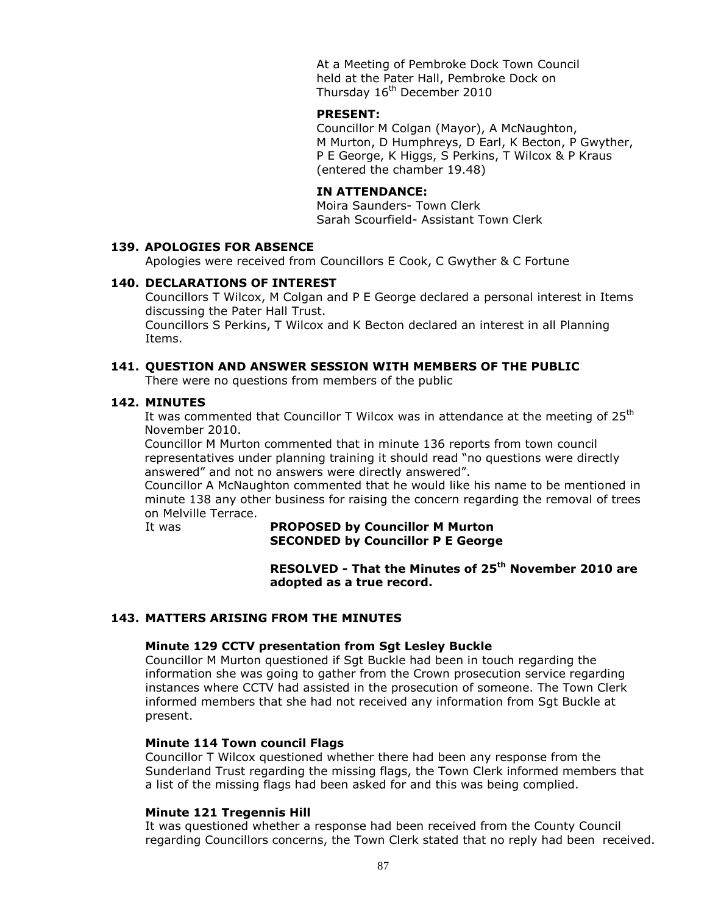At a Meeting of Pembroke Dock Town Council held at the Pater Hall, Pembroke Dock on Thursday 16<sup>th</sup> December 2010

#### **PRESENT:**

Councillor M Colgan (Mayor), A McNaughton, M Murton, D Humphreys, D Earl, K Becton, P Gwyther, P E George, K Higgs, S Perkins, T Wilcox & P Kraus (entered the chamber 19.48)

#### **IN ATTENDANCE:**

Moira Saunders- Town Clerk Sarah Scourfield- Assistant Town Clerk

#### **139. APOLOGIES FOR ABSENCE**

Apologies were received from Councillors E Cook, C Gwyther & C Fortune

#### **140. DECLARATIONS OF INTEREST**

Councillors T Wilcox, M Colgan and P E George declared a personal interest in Items discussing the Pater Hall Trust.

Councillors S Perkins, T Wilcox and K Becton declared an interest in all Planning Items.

#### **141. QUESTION AND ANSWER SESSION WITH MEMBERS OF THE PUBLIC**

There were no questions from members of the public

#### **142. MINUTES**

It was commented that Councillor T Wilcox was in attendance at the meeting of  $25<sup>th</sup>$ November 2010.

Councillor M Murton commented that in minute 136 reports from town council representatives under planning training it should read "no questions were directly answered" and not no answers were directly answered".

Councillor A McNaughton commented that he would like his name to be mentioned in minute 138 any other business for raising the concern regarding the removal of trees on Melville Terrace.

## It was **PROPOSED by Councillor M Murton SECONDED by Councillor P E George**

**RESOLVED - That the Minutes of 25th November 2010 are adopted as a true record.**

# **143. MATTERS ARISING FROM THE MINUTES**

#### **Minute 129 CCTV presentation from Sgt Lesley Buckle**

Councillor M Murton questioned if Sgt Buckle had been in touch regarding the information she was going to gather from the Crown prosecution service regarding instances where CCTV had assisted in the prosecution of someone. The Town Clerk informed members that she had not received any information from Sgt Buckle at present.

#### **Minute 114 Town council Flags**

Councillor T Wilcox questioned whether there had been any response from the Sunderland Trust regarding the missing flags, the Town Clerk informed members that a list of the missing flags had been asked for and this was being complied.

#### **Minute 121 Tregennis Hill**

It was questioned whether a response had been received from the County Council regarding Councillors concerns, the Town Clerk stated that no reply had been received.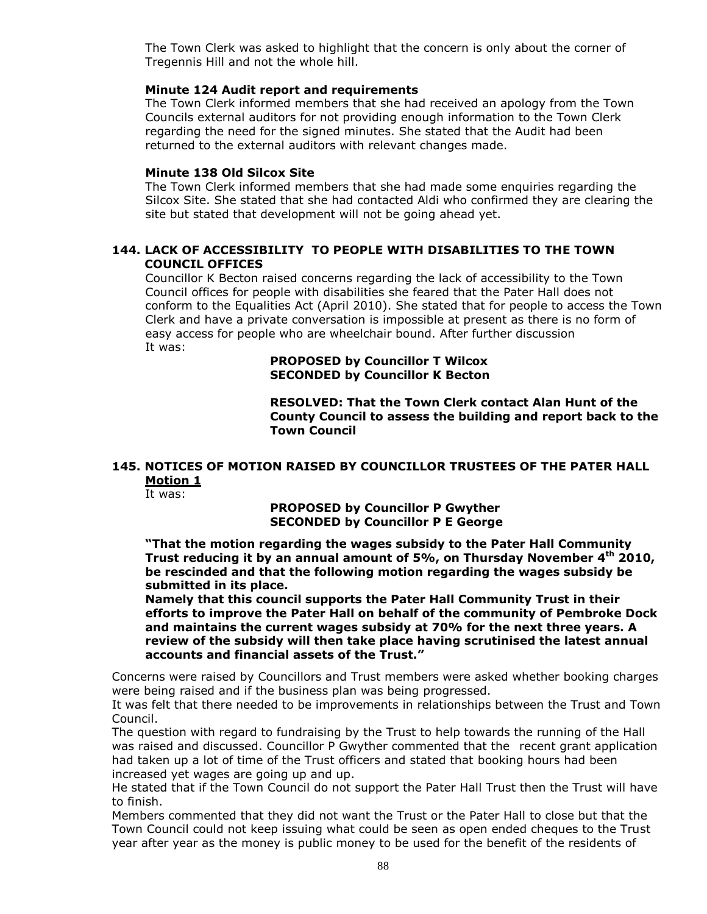The Town Clerk was asked to highlight that the concern is only about the corner of Tregennis Hill and not the whole hill.

#### **Minute 124 Audit report and requirements**

The Town Clerk informed members that she had received an apology from the Town Councils external auditors for not providing enough information to the Town Clerk regarding the need for the signed minutes. She stated that the Audit had been returned to the external auditors with relevant changes made.

#### **Minute 138 Old Silcox Site**

The Town Clerk informed members that she had made some enquiries regarding the Silcox Site. She stated that she had contacted Aldi who confirmed they are clearing the site but stated that development will not be going ahead yet.

## **144. LACK OF ACCESSIBILITY TO PEOPLE WITH DISABILITIES TO THE TOWN COUNCIL OFFICES**

Councillor K Becton raised concerns regarding the lack of accessibility to the Town Council offices for people with disabilities she feared that the Pater Hall does not conform to the Equalities Act (April 2010). She stated that for people to access the Town Clerk and have a private conversation is impossible at present as there is no form of easy access for people who are wheelchair bound. After further discussion It was:

#### **PROPOSED by Councillor T Wilcox SECONDED by Councillor K Becton**

**RESOLVED: That the Town Clerk contact Alan Hunt of the County Council to assess the building and report back to the Town Council** 

# **145. NOTICES OF MOTION RAISED BY COUNCILLOR TRUSTEES OF THE PATER HALL Motion 1**

It was:

**PROPOSED by Councillor P Gwyther SECONDED by Councillor P E George**

**"That the motion regarding the wages subsidy to the Pater Hall Community Trust reducing it by an annual amount of 5%, on Thursday November 4th 2010, be rescinded and that the following motion regarding the wages subsidy be submitted in its place.**

**Namely that this council supports the Pater Hall Community Trust in their efforts to improve the Pater Hall on behalf of the community of Pembroke Dock and maintains the current wages subsidy at 70% for the next three years. A review of the subsidy will then take place having scrutinised the latest annual accounts and financial assets of the Trust."**

Concerns were raised by Councillors and Trust members were asked whether booking charges were being raised and if the business plan was being progressed.

It was felt that there needed to be improvements in relationships between the Trust and Town Council.

The question with regard to fundraising by the Trust to help towards the running of the Hall was raised and discussed. Councillor P Gwyther commented that the recent grant application had taken up a lot of time of the Trust officers and stated that booking hours had been increased yet wages are going up and up.

He stated that if the Town Council do not support the Pater Hall Trust then the Trust will have to finish.

Members commented that they did not want the Trust or the Pater Hall to close but that the Town Council could not keep issuing what could be seen as open ended cheques to the Trust year after year as the money is public money to be used for the benefit of the residents of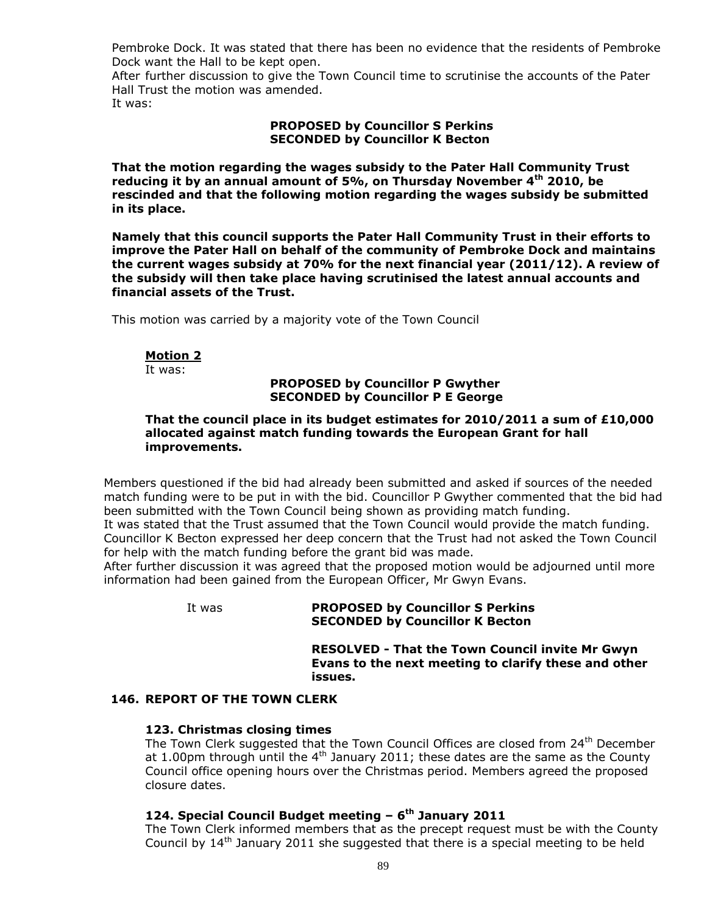Pembroke Dock. It was stated that there has been no evidence that the residents of Pembroke Dock want the Hall to be kept open.

After further discussion to give the Town Council time to scrutinise the accounts of the Pater Hall Trust the motion was amended.

It was:

## **PROPOSED by Councillor S Perkins SECONDED by Councillor K Becton**

**That the motion regarding the wages subsidy to the Pater Hall Community Trust reducing it by an annual amount of 5%, on Thursday November 4th 2010, be rescinded and that the following motion regarding the wages subsidy be submitted in its place.**

**Namely that this council supports the Pater Hall Community Trust in their efforts to improve the Pater Hall on behalf of the community of Pembroke Dock and maintains the current wages subsidy at 70% for the next financial year (2011/12). A review of the subsidy will then take place having scrutinised the latest annual accounts and financial assets of the Trust.**

This motion was carried by a majority vote of the Town Council

# **Motion 2**

It was:

## **PROPOSED by Councillor P Gwyther SECONDED by Councillor P E George**

#### **That the council place in its budget estimates for 2010/2011 a sum of £10,000 allocated against match funding towards the European Grant for hall improvements.**

Members questioned if the bid had already been submitted and asked if sources of the needed match funding were to be put in with the bid. Councillor P Gwyther commented that the bid had been submitted with the Town Council being shown as providing match funding.

It was stated that the Trust assumed that the Town Council would provide the match funding. Councillor K Becton expressed her deep concern that the Trust had not asked the Town Council for help with the match funding before the grant bid was made.

After further discussion it was agreed that the proposed motion would be adjourned until more information had been gained from the European Officer, Mr Gwyn Evans.

## It was **PROPOSED by Councillor S Perkins SECONDED by Councillor K Becton**

**RESOLVED - That the Town Council invite Mr Gwyn Evans to the next meeting to clarify these and other issues.**

## **146. REPORT OF THE TOWN CLERK**

# **123. Christmas closing times**

The Town Clerk suggested that the Town Council Offices are closed from 24<sup>th</sup> December at 1.00pm through until the  $4<sup>th</sup>$  January 2011; these dates are the same as the County Council office opening hours over the Christmas period. Members agreed the proposed closure dates.

# **124. Special Council Budget meeting – 6 th January 2011**

The Town Clerk informed members that as the precept request must be with the County Council by  $14<sup>th</sup>$  January 2011 she suggested that there is a special meeting to be held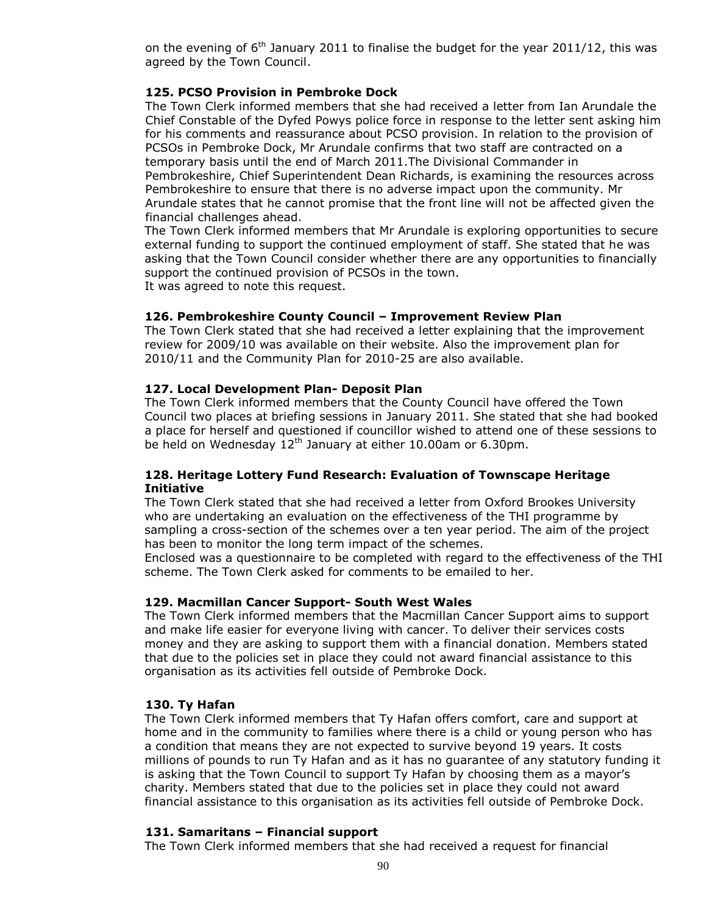on the evening of  $6<sup>th</sup>$  January 2011 to finalise the budget for the year 2011/12, this was agreed by the Town Council.

## **125. PCSO Provision in Pembroke Dock**

The Town Clerk informed members that she had received a letter from Ian Arundale the Chief Constable of the Dyfed Powys police force in response to the letter sent asking him for his comments and reassurance about PCSO provision. In relation to the provision of PCSOs in Pembroke Dock, Mr Arundale confirms that two staff are contracted on a temporary basis until the end of March 2011.The Divisional Commander in Pembrokeshire, Chief Superintendent Dean Richards, is examining the resources across Pembrokeshire to ensure that there is no adverse impact upon the community. Mr Arundale states that he cannot promise that the front line will not be affected given the financial challenges ahead.

The Town Clerk informed members that Mr Arundale is exploring opportunities to secure external funding to support the continued employment of staff. She stated that he was asking that the Town Council consider whether there are any opportunities to financially support the continued provision of PCSOs in the town. It was agreed to note this request.

# **126. Pembrokeshire County Council – Improvement Review Plan**

The Town Clerk stated that she had received a letter explaining that the improvement review for 2009/10 was available on their website. Also the improvement plan for 2010/11 and the Community Plan for 2010-25 are also available.

# **127. Local Development Plan- Deposit Plan**

The Town Clerk informed members that the County Council have offered the Town Council two places at briefing sessions in January 2011. She stated that she had booked a place for herself and questioned if councillor wished to attend one of these sessions to be held on Wednesday  $12<sup>th</sup>$  January at either 10.00am or 6.30pm.

#### **128. Heritage Lottery Fund Research: Evaluation of Townscape Heritage Initiative**

The Town Clerk stated that she had received a letter from Oxford Brookes University who are undertaking an evaluation on the effectiveness of the THI programme by sampling a cross-section of the schemes over a ten year period. The aim of the project has been to monitor the long term impact of the schemes.

Enclosed was a questionnaire to be completed with regard to the effectiveness of the THI scheme. The Town Clerk asked for comments to be emailed to her.

## **129. Macmillan Cancer Support- South West Wales**

The Town Clerk informed members that the Macmillan Cancer Support aims to support and make life easier for everyone living with cancer. To deliver their services costs money and they are asking to support them with a financial donation. Members stated that due to the policies set in place they could not award financial assistance to this organisation as its activities fell outside of Pembroke Dock.

## **130. Ty Hafan**

The Town Clerk informed members that Ty Hafan offers comfort, care and support at home and in the community to families where there is a child or young person who has a condition that means they are not expected to survive beyond 19 years. It costs millions of pounds to run Ty Hafan and as it has no guarantee of any statutory funding it is asking that the Town Council to support Ty Hafan by choosing them as a mayor's charity. Members stated that due to the policies set in place they could not award financial assistance to this organisation as its activities fell outside of Pembroke Dock.

## **131. Samaritans – Financial support**

The Town Clerk informed members that she had received a request for financial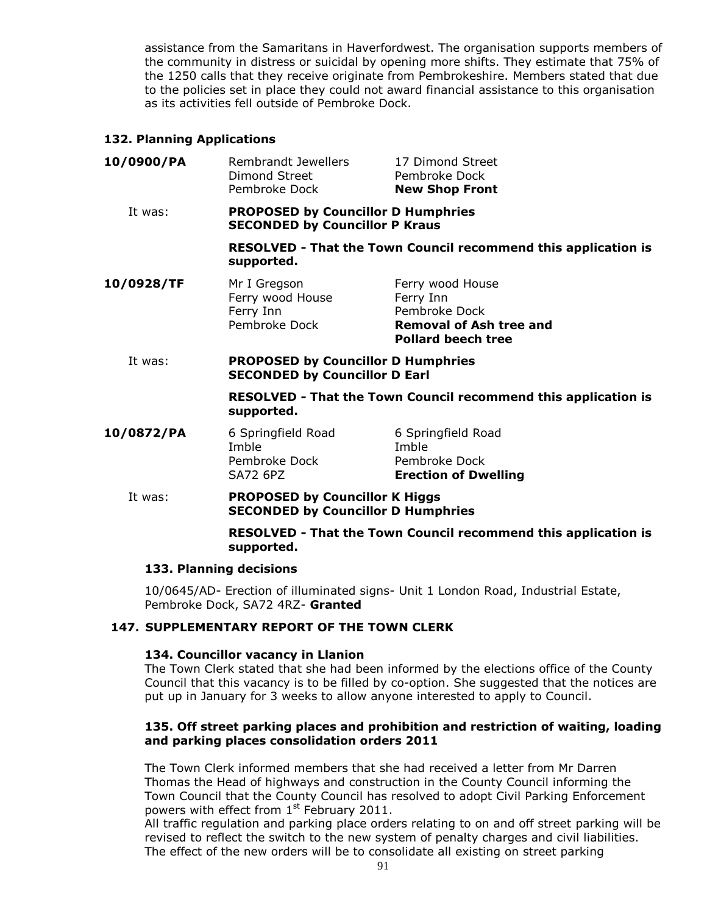assistance from the Samaritans in Haverfordwest. The organisation supports members of the community in distress or suicidal by opening more shifts. They estimate that 75% of the 1250 calls that they receive originate from Pembrokeshire. Members stated that due to the policies set in place they could not award financial assistance to this organisation as its activities fell outside of Pembroke Dock.

# **132. Planning Applications**

| 10/0900/PA | Rembrandt Jewellers<br>Dimond Street<br>Pembroke Dock                              | 17 Dimond Street<br>Pembroke Dock<br><b>New Shop Front</b>                                                    |  |
|------------|------------------------------------------------------------------------------------|---------------------------------------------------------------------------------------------------------------|--|
| It was:    | <b>PROPOSED by Councillor D Humphries</b><br><b>SECONDED by Councillor P Kraus</b> |                                                                                                               |  |
|            | supported.                                                                         | RESOLVED - That the Town Council recommend this application is                                                |  |
| 10/0928/TF | Mr I Gregson<br>Ferry wood House<br>Ferry Inn<br>Pembroke Dock                     | Ferry wood House<br>Ferry Inn<br>Pembroke Dock<br><b>Removal of Ash tree and</b><br><b>Pollard beech tree</b> |  |
| It was:    | <b>PROPOSED by Councillor D Humphries</b><br><b>SECONDED by Councillor D Earl</b>  |                                                                                                               |  |
|            | supported.                                                                         | RESOLVED - That the Town Council recommend this application is                                                |  |
| 10/0872/PA | 6 Springfield Road<br>Imble<br>Pembroke Dock<br><b>SA72 6PZ</b>                    | 6 Springfield Road<br>Imble<br>Pembroke Dock<br><b>Erection of Dwelling</b>                                   |  |
| It was:    | <b>PROPOSED by Councillor K Higgs</b><br><b>SECONDED by Councillor D Humphries</b> |                                                                                                               |  |
|            | RESOLVED - That the Town Council recommend this application is<br>supported.       |                                                                                                               |  |

## **133. Planning decisions**

10/0645/AD- Erection of illuminated signs- Unit 1 London Road, Industrial Estate, Pembroke Dock, SA72 4RZ- **Granted**

# **147. SUPPLEMENTARY REPORT OF THE TOWN CLERK**

## **134. Councillor vacancy in Llanion**

The Town Clerk stated that she had been informed by the elections office of the County Council that this vacancy is to be filled by co-option. She suggested that the notices are put up in January for 3 weeks to allow anyone interested to apply to Council.

## **135. Off street parking places and prohibition and restriction of waiting, loading and parking places consolidation orders 2011**

The Town Clerk informed members that she had received a letter from Mr Darren Thomas the Head of highways and construction in the County Council informing the Town Council that the County Council has resolved to adopt Civil Parking Enforcement powers with effect from 1<sup>st</sup> February 2011.

All traffic regulation and parking place orders relating to on and off street parking will be revised to reflect the switch to the new system of penalty charges and civil liabilities. The effect of the new orders will be to consolidate all existing on street parking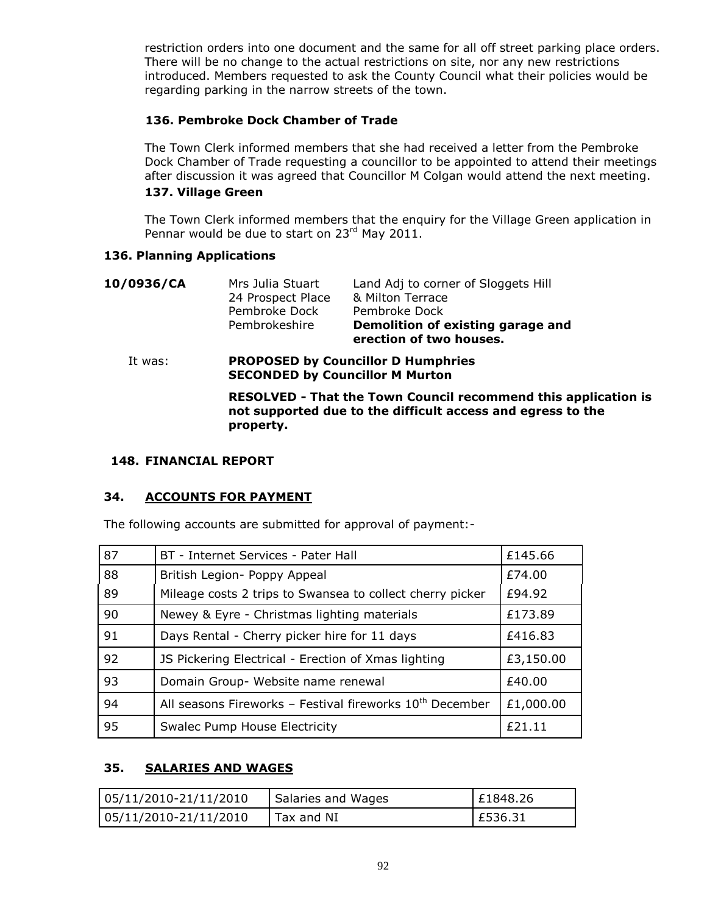restriction orders into one document and the same for all off street parking place orders. There will be no change to the actual restrictions on site, nor any new restrictions introduced. Members requested to ask the County Council what their policies would be regarding parking in the narrow streets of the town.

# **136. Pembroke Dock Chamber of Trade**

The Town Clerk informed members that she had received a letter from the Pembroke Dock Chamber of Trade requesting a councillor to be appointed to attend their meetings after discussion it was agreed that Councillor M Colgan would attend the next meeting.

# **137. Village Green**

The Town Clerk informed members that the enquiry for the Village Green application in Pennar would be due to start on 23rd May 2011.

# **136. Planning Applications**

| 10/0936/CA | Mrs Julia Stuart<br>24 Prospect Place<br>Pembroke Dock<br>Pembrokeshire                                                                           | Land Adj to corner of Sloggets Hill<br>& Milton Terrace<br>Pembroke Dock<br>Demolition of existing garage and<br>erection of two houses. |  |
|------------|---------------------------------------------------------------------------------------------------------------------------------------------------|------------------------------------------------------------------------------------------------------------------------------------------|--|
| It was:    | <b>PROPOSED by Councillor D Humphries</b><br><b>SECONDED by Councillor M Murton</b>                                                               |                                                                                                                                          |  |
|            | <b>RESOLVED - That the Town Council recommend this application is</b><br>not supported due to the difficult access and egress to the<br>property. |                                                                                                                                          |  |

## **148. FINANCIAL REPORT**

# **34. ACCOUNTS FOR PAYMENT**

The following accounts are submitted for approval of payment:-

| 87 | BT - Internet Services - Pater Hall                        | £145.66   |
|----|------------------------------------------------------------|-----------|
| 88 | British Legion- Poppy Appeal                               | £74.00    |
| 89 | Mileage costs 2 trips to Swansea to collect cherry picker  | £94.92    |
| 90 | Newey & Eyre - Christmas lighting materials                | £173.89   |
| 91 | Days Rental - Cherry picker hire for 11 days               | £416.83   |
| 92 | JS Pickering Electrical - Erection of Xmas lighting        | £3,150.00 |
| 93 | Domain Group- Website name renewal                         | £40.00    |
| 94 | All seasons Fireworks - Festival fireworks $10th$ December | £1,000.00 |
| 95 | <b>Swalec Pump House Electricity</b>                       | £21.11    |

# **35. SALARIES AND WAGES**

| 05/11/2010-21/11/2010 | Salaries and Wages | £1848.26 |
|-----------------------|--------------------|----------|
| 05/11/2010-21/11/2010 | Tax and NI         | £536.31  |